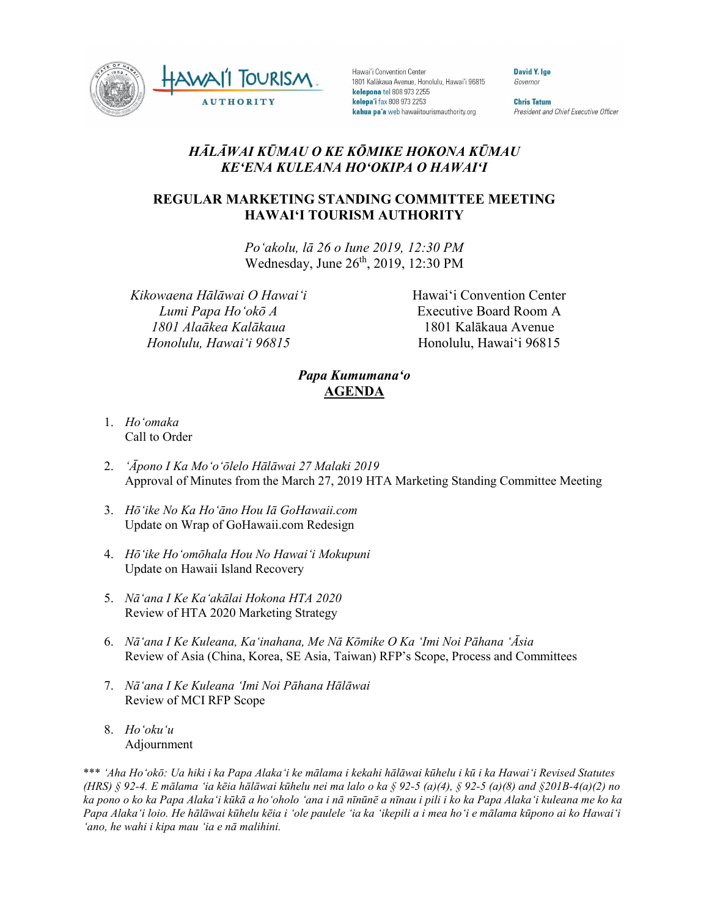

Hawai'i Convention Center 1801 Kalākaua Avenue, Honolulu, Hawai'i 96815 kelepona tel 808 973 2255 kelepa'i fax 808 973 2253 kahua pa'a web hawaiitourismauthority.org

**David Y. Ige** Governor

**Chris Tatum** President and Chief Executive Officer

## *HĀLĀWAI KŪMAU O KE KŌMIKE HOKONA KŪMAU KEʻENA KULEANA HOʻOKIPA O HAWAIʻI*

## **REGULAR MARKETING STANDING COMMITTEE MEETING HAWAI'I TOURISM AUTHORITY**

*Poʻakolu, lā 26 o Iune 2019, 12:30 PM* Wednesday, June 26<sup>th</sup>, 2019, 12:30 PM

*Kikowaena Hālāwai O Hawaiʻi Lumi Papa Hoʻokō A 1801 Alaākea Kalākaua Honolulu, Hawaiʻi 96815*

Hawai'i Convention Center Executive Board Room A 1801 Kalākaua Avenue Honolulu, Hawai'i 96815

## *Papa Kumumanaʻo* **AGENDA**

- 1. *Ho'omaka* Call to Order
- 2. *'Āpono I Ka Moʻoʻōlelo Hālāwai 27 Malaki 2019* Approval of Minutes from the March 27, 2019 HTA Marketing Standing Committee Meeting
- 3. *Hōʻike No Ka Hoʻāno Hou Iā GoHawaii.com* Update on Wrap of GoHawaii.com Redesign
- 4. *Hōʻike Hoʻomōhala Hou No Hawaiʻi Mokupuni* Update on Hawaii Island Recovery
- 5. *Nāʻana I Ke Kaʻakālai Hokona HTA 2020* Review of HTA 2020 Marketing Strategy
- 6. *Nāʻana I Ke Kuleana, Kaʻinahana, Me Nā Kōmike O Ka ʻImi Noi Pāhana ʻĀsia* Review of Asia (China, Korea, SE Asia, Taiwan) RFP's Scope, Process and Committees
- 7. *Nāʻana I Ke Kuleana ʻImi Noi Pāhana Hālāwai* Review of MCI RFP Scope
- 8. *Hoʻokuʻu* Adjournment

\*\*\* *ʻAha Hoʻokō: Ua hiki i ka Papa Alakaʻi ke mālama i kekahi hālāwai kūhelu i kū i ka Hawaiʻi Revised Statutes (HRS) § 92-4. E mālama ʻia kēia hālāwai kūhelu nei ma lalo o ka § 92-5 (a)(4), § 92-5 (a)(8) and §201B-4(a)(2) no ka pono o ko ka Papa Alakaʻi kūkā a hoʻoholo ʻana i nā nīnūnē a nīnau i pili i ko ka Papa Alakaʻi kuleana me ko ka Papa Alakaʻi loio. He hālāwai kūhelu kēia i ʻole paulele ʻia ka ʻikepili a i mea hoʻi e mālama kūpono ai ko Hawaiʻi ʻano, he wahi i kipa mau ʻia e nā malihini.*